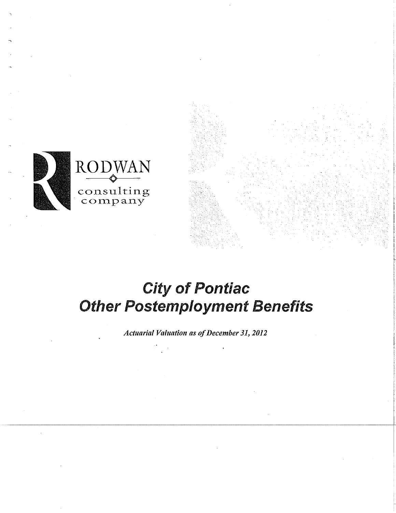

### City of Pontiac **Other Postemployment Benefits**

*Actuarial Valuation as of December 31, 2012*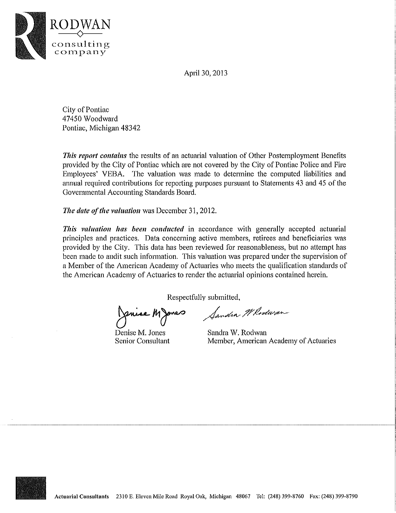Apri130, 2013



City of Pontiac 47450 Woodward Pontiac, Michigan 48342

*This report contains* the results of an actuarial valuation of Other Postemployment Benefits provided by the City of Pontiac which are not covered by the City of Pontiac Police and Fire Employees' VEBA. The valuation was made to determine the computed liabilities and annual required contributions for reporting purposes pursuant to Statements 43 and 45 of the Governmental Accounting Standards Board.

*The dute of tile valuution* was December 31, 2012.

*This valuation has been conducted* in accordance with generally accepted actuarial principles and practices. Data concerning active members, retirees and beneficiaries was provided by the City. This data has been reviewed for reasonableness, but no attempt has been made to audit such information. This valuation was prepared under the supervision of a Member of the American Academy of Actuaries who meets the qualification standards of the American Academy of Actuaries to render the actuarial opinions contained herein.

Respectfully submitted,

Venice Marco Sandin Whodwan

Denise M. Jones Senior Consultant

Sandra W. Rodwan Member, American Academy of Actuaries

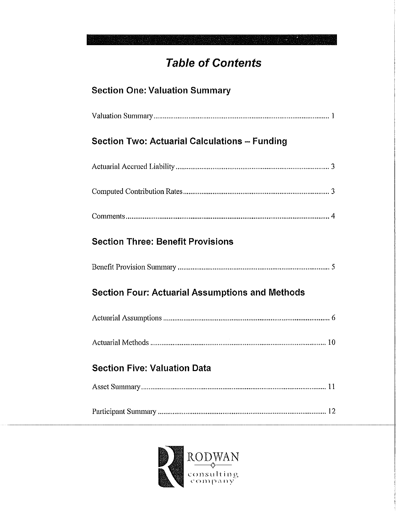### **Table of Contents**

### **Section One: Valuation Summary**

|--|

#### **Section Two: Actuarial Calculations - Funding**

|--|--|

|--|

|--|

### **Section Three: Benefit Provisions**

#### **Section Four: Actuarial Assumptions and Methods**

|--|

#### **Section Five: Valuation Data**

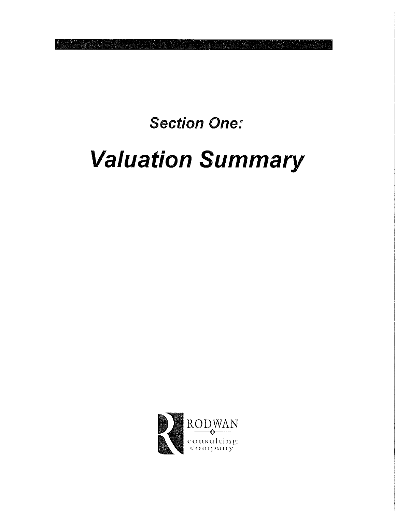**Section One:** 

# **Valuation Summary**

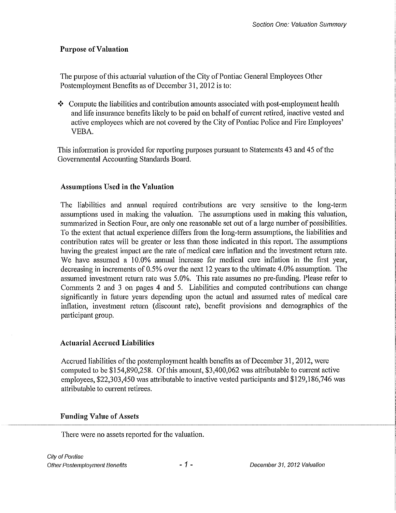#### Purpose of Valuation

The purpose of this actuarial valuation of the City of Pontiac General Employees Other Postemployment Benefits as of December 31, 2012 is to:

 $\triangle$  Compute the liabilities and contribution amounts associated with post-employment health and life insurance benefits likely to be paid on behalf of current retired, inactive vested and active employees which are not covered by the City of Pontiac Police and Fire Employees' VEBA.

This information is provided for repotiing purposes pursuant to Statements 43 and 45 of the Governmental Accounting Standards Board.

#### Assumptions Used in the Valuation

The liabilities and mmual required contributions are vety sensitive to the long-term assumptions used in making the valuation. The assumptions used in making this valuation, summarized in Section Four, are only one reasonable set out of a large number of possibilities. To the extent that actual experience differs from the long-term assumptions, the liabilities and contribution rates will be greater or less than those indicated in this report. The assumptions having the greatest impact are the rate of medical care inflation and the investment return rate. We have assumed a 10.0% annual increase for medical care inflation in the first year, decreasing in increments of 0.5% over the next 12 years to the ultimate 4.0% assumption. The assumed investment return rate was 5.0%. This rate assumes no pre-funding. Please refer to Comments 2 and 3 on pages 4 and 5. Liabilities and computed contributions can change significantly in fhture years depending upon the actual and assumed rates of medical care inflation, investment return (discount rate), benefit provisions and demographics of the participant group.

#### Actuarial Accrued Liabilities

Accrued liabilities of the postemployment health benefits as of December 31, 2012, were computed to be \$154,890,258. Of this amount, \$3,400,062 was attributable to current active employees, \$22,303,450 was attributable to inactive vested participants and \$129,186,746 was attributable to current retirees.

#### Funding Value of Assets

There were no assets reported for the valuation.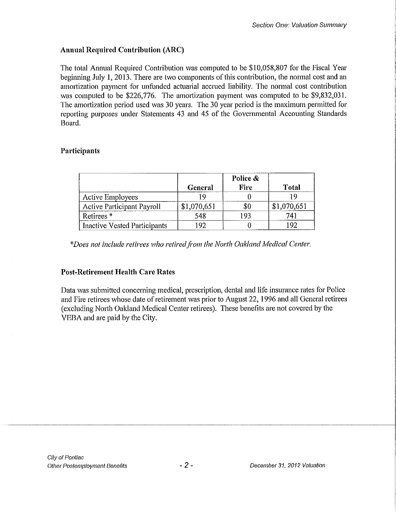#### **Annual Required Contribution (ARC)**

The total Annual Required Contribution was computed to be \$10,058,807 for the Fiscal Year beghming July 1, 2013. There are two components of this contribution, the normal cost and an amortization payment for unfunded actuarial accrued liability. The normal cost contribution was computed to be \$226,776. The amortization payment was computed to be \$9,832,031. The amortization period used was 30 years. The 30 year period is the maximum permitted for reporting purposes under Statements 43 and 45 of the Governmental Accounting Standards Board.

#### **Participants**

|                                     | General     | Police $\&$<br>Fire | Total       |
|-------------------------------------|-------------|---------------------|-------------|
| <b>Active Employees</b>             |             |                     |             |
| <b>Active Participant Payroll</b>   | \$1,070,651 |                     | \$1,070,651 |
| Retirees <sup>*</sup>               | 548         | 193                 | 741         |
| <b>Inactive Vested Participants</b> | -92         |                     |             |

*\*Does not include retirees who retiredfi'om the North Oakland Medical Center.* 

#### **Post-Retirement Health Care Rates**

Data was submitted concerning medical, prescription, dental and life insurance rates for Police and Fire retirees whose date of retirement was prior to August 22, 1996 and all General retirees (excluding North Oakland Medical Center retirees). These benefits are not covered by the VEBA and are paid by the City.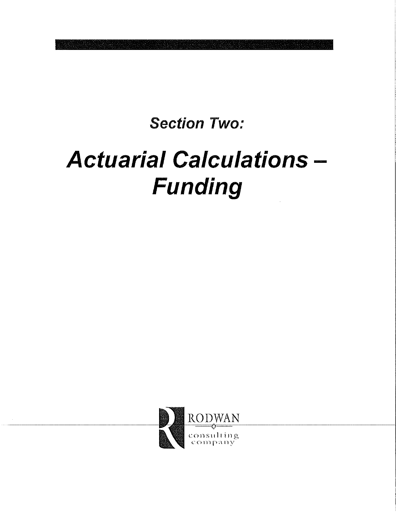**Section Two:** 

## **Actuarial Calculations -**Funding

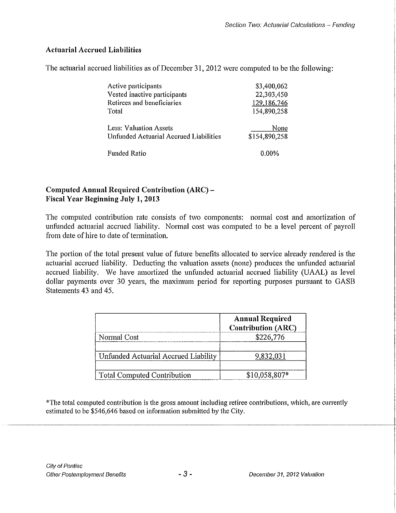#### **Actuarial Accrued Liabilities**

The actuarial accrued liabilities as of December 31,2012 were computed to be the following:

| Active participants                    | \$3,400,062   |
|----------------------------------------|---------------|
| Vested inactive participants           | 22,303,450    |
| Retirees and beneficiaries             | 129,186,746   |
| Total                                  | 154,890,258   |
| <b>Less: Valuation Assets</b>          | None          |
| Unfunded Actuarial Accrued Liabilities | \$154,890,258 |
| <b>Funded Ratio</b>                    | $0.00\%$      |

#### **Computed Annual Required Contribution (ARC)- Fiscal Year Beginning July 1, 2013**

The computed contribution rate consists of two components: normal cost and amortization of unfunded actuarial accrued liability. Normal cost was computed to be a level percent of payroll from date of hire to date of termination.

The portion of the total present value of future benefits allocated to service already rendered is the actuarial accrued liability. Deducting the valuation assets (none) produces the unfunded actuarial accrued liability. We have amortized the unfunded actuarial accrued liability (UAAL) as level dollar payments over 30 years, the maximum period for reporting purposes pursuant to GASB Statements 43 and 45.

|                                      | <b>Annual Required</b><br><b>Contribution (ARC)</b> |
|--------------------------------------|-----------------------------------------------------|
| Normal Cost                          | \$226,776                                           |
| Unfunded Actuarial Accrued Liability | 9,832,031                                           |
| <b>Total Computed Contribution</b>   | \$10,058,807*                                       |

\*The total computed contribution is the gross amount including retiree contributions, which, are currently estimated to be \$546,646 based on information submitted by the City.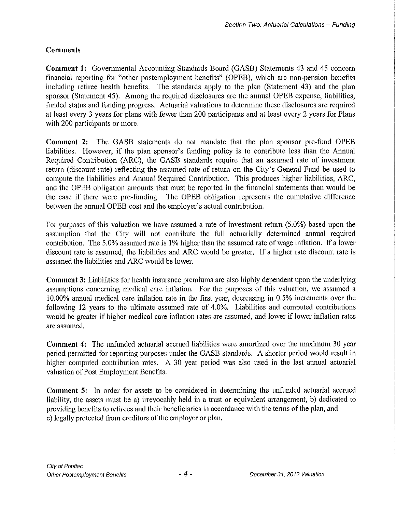#### **Comments**

**Comment 1:** Governmental Accounting Standards Board (GASB) Statements 43 and 45 concern financial reporting for "other postemployment benefits" (OPEB), which are non-pension benefits including retiree health benefits. The standards apply to the plan (Statement 43) and the plan sponsor (Statement 45). Among the required disclosures are the annual OPEB expense, liabilities, funded status and funding progress. Actuarial valuations to determine these disclosures are required at least every 3 years for plans with fewer than 200 participants and at least every 2 years for Plans with 200 participants or more.

**Comment** 2: The GASB statements do not mandate that the plan sponsor pre-fund OPEB liabilities. However, if the plan sponsor's funding policy is to contribute less than the Annual Required Contribution (ARC), the GASB standards require that an assumed rate of investment return (discount rate) reflecting the assumed rate of return on the City's General Fund be used to compute the liabilities and Annual Required Contribution. This produces higher liabilities, ARC, and the OPEB obligation amounts that must be reported in the financial statements than would be the case if there were pre-funding. The OPEB obligation represents the cumulative difference between the annual OPEB cost and the employer's actual contribution.

For purposes of this valuation we have assumed a rate of investment return (5.0%) based upon the assumption that the City will not contribute the full actuarially determined annual required contribution. The 5.0% assumed rate is 1% higher than the assumed rate of wage inflation. If a lower discount rate is assumed, the liabilities and ARC would be greater. If a higher rate discount rate is assumed the liabilities and ARC would be lower.

**Comment** 3: Liabilities for health insurance premiums are also highly dependent upon the underlying assumptions concerning medical care inflation. For the purposes of this valuation, we assumed a I 0.00% annual medical care inflation rate in the first year, decreasing in 0.5% increments over the following 12 years to the ultimate assumed rate of 4.0%. Liabilities and computed contributions would be greater if higher medical care inflation rates are assumed, and lower if lower inflation rates are assumed.

**Comment 4:** The unfunded actuarial accrued liabilities were amortized over the maximum 30 year period permitted for reporting purposes under the GASB standards. A shorter period would result in higher computed contribution rates. A 30 year period was also used in the last annual actuarial valuation of Post Employment Benefits.

**Comment** 5: In order for assets to be considered in determining the unfunded actuarial accrued liability, the assets must be a) irrevocably held in a trust or equivalent arrangement, b) dedicated to providing benefits to retirees and their beneficiaries in accordance with the terms of the plan, and c) legally protected from creditors of the employer or plan.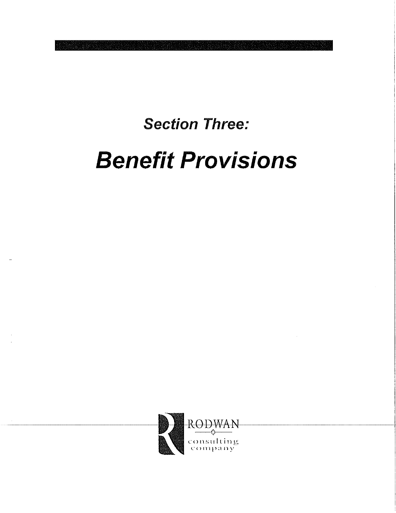### **Section Three:**

## **Benefit Provisions**

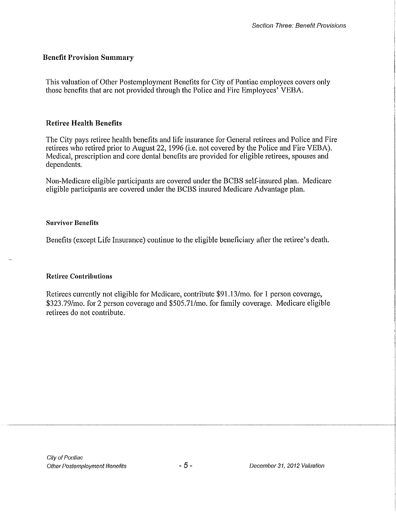#### **Benefit Provision Summary**

This valuation of Other Postemployment Benefits for City of Pontiac employees covers only those benefits that are not provided through the Police and Fire Employees' VEBA.

#### **Retiree Health Benefits**

The City pays retiree health benefits and life insurance for General retirees and Police and Fire retirees who retired prior to August 22, 1996 (i.e. not covered by the Police and Fire VEBA). Medical, prescription and core dental benefits are provided for eligible retirees, spouses and dependents.

Non-Medicare eligible participants are covered under the BCBS self-insured plan. Medicare eligible participants are covered under the BCBS insured Medicare Advantage plan.

#### **Survivor Benefits**

Benefits (except Life Insurance) continue to the eligible beneficiary after the retiree's death.

#### **Retiree Contributions**

Retirees currently not eligible for Medicare, contribute \$91.13/mo. for 1 person coverage, \$323.79/mo. for 2 person coverage and \$505.71/mo. for family coverage. Medicare eligible retirees do not contribute.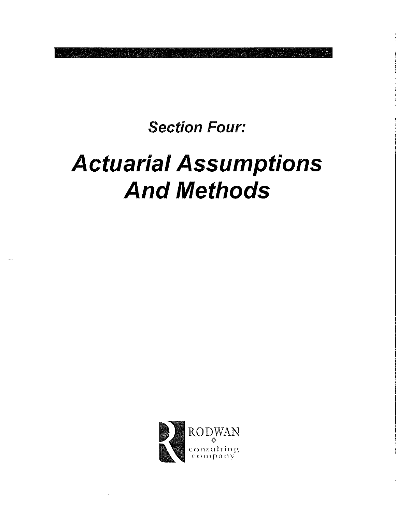### **Section Four:**

## **Actuarial Assumptions And Methods**

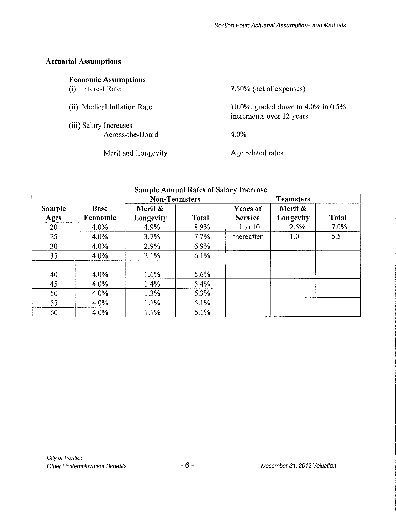#### Actuarial Assumptions

 $\overline{a}$ 

 $\bar{\beta}$ 

| <b>Economic Assumptions</b> |                                                                   |
|-----------------------------|-------------------------------------------------------------------|
| Interest Rate<br>(i)        | 7.50% (net of expenses)                                           |
| (ii) Medical Inflation Rate | 10.0%, graded down to 4.0% in $0.5\%$<br>increments over 12 years |
| (iii) Salary Increases      |                                                                   |
| Across-the-Board            | 4.0%                                                              |
| Merit and Longevity         | Age related rates                                                 |

|        |             | <b>Non-Teamsters</b><br><b>Teamsters</b> |              |                |                  |              |
|--------|-------------|------------------------------------------|--------------|----------------|------------------|--------------|
| Sample | <b>Base</b> | Merit &                                  |              | Years of       | Merit &          |              |
| Ages   | Economic    | Longevity                                | <b>Total</b> | <b>Service</b> | Longevity        | <b>Total</b> |
| 20     | 4.0%        | 4.9%                                     | 8.9%         | $1$ to $10$    | 2.5%             | 7.0%         |
| 25     | $4.0\%$     | 3.7%                                     | 7.7%         | thereafter     | 1.0 <sub>2</sub> | 5.5          |
| 30     | 4.0%        | 2.9%                                     | 6.9%         |                |                  |              |
| 35     | 4.0%        | 2.1%                                     | 6.1%         |                |                  |              |
|        |             |                                          |              |                |                  |              |
| 40     | 4.0%        | 1.6%                                     | 5.6%         |                |                  |              |
| 45     | $4.0\%$     | 1.4%                                     | 5.4%         |                |                  |              |
| 50     | $4.0\%$     | 1.3%                                     | 5.3%         |                |                  |              |
| 55     | 4.0%        | 1.1%                                     | 5.1%         |                |                  |              |
| 60     | 4.0%        | 1.1%                                     | 5.1%         |                |                  |              |

#### **Sample Annual Rates of Salary Increase**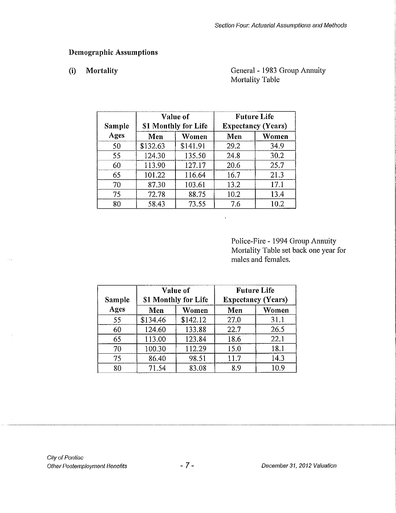#### **Demographic Assumptions**

#### **(i) Mortality**

#### General - 1983 Group Annuity Mortality Table

| Sample |          | Value of<br>\$1 Monthly for Life | <b>Future Life</b><br><b>Expectancy (Years)</b> |       |  |
|--------|----------|----------------------------------|-------------------------------------------------|-------|--|
| Ages   | Men      | Women                            | Men                                             | Women |  |
| 50     | \$132.63 | \$141.91                         | 29.2                                            | 34.9  |  |
| 55     | 124.30   | 135.50                           | 24.8                                            | 30.2  |  |
| 60     | 113.90   | 127.17                           | 20.6                                            | 25.7  |  |
| 65     | 101.22   | 116.64                           | 16.7                                            | 21.3  |  |
| 70     | 87.30    | 103.61                           | 13.2                                            | 17.1  |  |
| 75     | 72.78    | 88.75                            | 10.2                                            | 13.4  |  |
| 80     | 58.43    | 73.55                            | 7.6                                             | 10.2  |  |

Police-Fire- 1994 Group Annuity Mortality Table set back one year for males and females.

| Sample |          | Value of<br>\$1 Monthly for Life | <b>Future Life</b><br><b>Expectancy (Years)</b> |       |  |
|--------|----------|----------------------------------|-------------------------------------------------|-------|--|
| Ages   | Men      | Women                            | Men                                             | Women |  |
| 55     | \$134.46 | \$142.12                         | 27.0                                            | 31.1  |  |
| 60     | 124.60   | 133.88                           | 22.7                                            | 26.5  |  |
| 65     | 113.00   | 123.84                           | 18.6                                            | 22.1  |  |
| 70     | 100.30   | 112.29                           | 15.0                                            | 18.1  |  |
| 75     | 86.40    | 98.51                            | 11.7                                            | 14.3  |  |
| 80     | 71.54    | 83.08                            | 8.9                                             | 10.9  |  |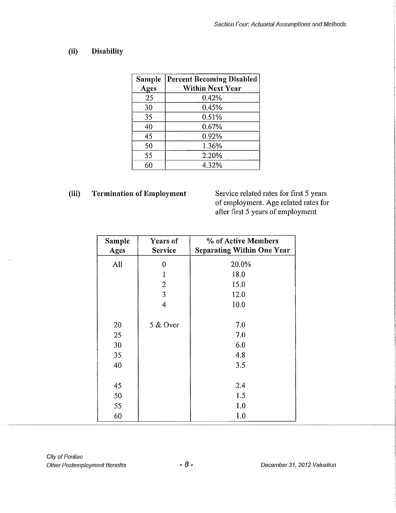#### **(ii) Disability**

| Sample<br>Ages | <b>Percent Becoming Disabled</b><br><b>Within Next Year</b> |
|----------------|-------------------------------------------------------------|
| 25             | 0.42%                                                       |
| 30             | 0.45%                                                       |
| 35             | 0.51%                                                       |
| 40             | 0.67%                                                       |
| 45             | 0.92%                                                       |
| 50             | 1.36%                                                       |
| 55             | 2.20%                                                       |
| 60             | 4.32%                                                       |

(iii) Termination of Employment Service related rates for first 5 years of employment. Age related rates for after first 5 years of employment

| Sample<br>Ages | Years of<br><b>Service</b> | % of Active Members<br><b>Separating Within One Year</b> |
|----------------|----------------------------|----------------------------------------------------------|
| All            | 0                          | 20.0%                                                    |
|                | $\mathbf{1}$               | 18.0                                                     |
|                | $\overline{2}$             | 15.0                                                     |
|                | 3                          | 12.0                                                     |
|                | 4                          | 10.0                                                     |
| 20             | 5 & Over                   | 7.0                                                      |
| 25             |                            | 7.0                                                      |
| 30             |                            | 6.0                                                      |
| 35             |                            | 4.8                                                      |
| 40             |                            | 3.5                                                      |
| 45             |                            | 2.4                                                      |
| 50             |                            | 1.5                                                      |
| 55             |                            | 1.0                                                      |
| 60             |                            | 1.0                                                      |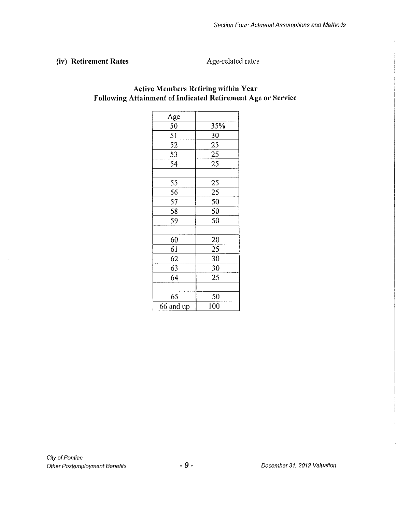#### (iv) Retirement Rates **Age-related rates**

| <u>Age</u> |     |
|------------|-----|
| 50         | 35% |
| 51         | 30  |
|            |     |
| 52         | 25  |
| 53         | 25  |
| 54         | 25  |
|            |     |
| 55         | 25  |
| 56         | 25  |
| 57         | 50  |
| 58         | 50  |
| 59         | 50  |
|            |     |
| 60         | 20  |
| 61         | 25  |
| 62         | 30  |
| 63         | 30  |
| 64         | 25  |
|            |     |
| 65         | 50  |
| 66 and up  | 100 |

#### **Active Members Retiring within Y car Following Attainment of Indicated Retirement Age or Service**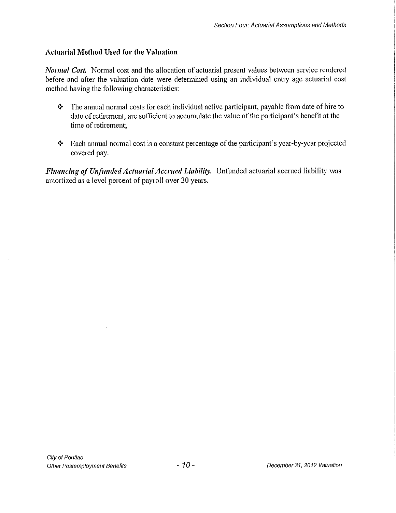#### **Actuarial Method** Used **for the Valuation**

*Normal Cost.* Normal cost and the allocation of actuarial present values between service rendered before and after the valuation date were determined using an individual entry age actuarial cost method having the following characteristics:

- $\cdot \cdot$  The annual normal costs for each individual active participant, payable from date of hire to date of retirement, are sufficient to accumulate the value of the participant's benefit at the time of retirement;
- $\triangle$  Each annual normal cost is a constant percentage of the participant's year-by-year projected covered pay.

*Financing of Unfunded Actuarial Accrued Liability.* Unfunded actuarial accrued liability was amortized as a level percent of payroll over 30 years.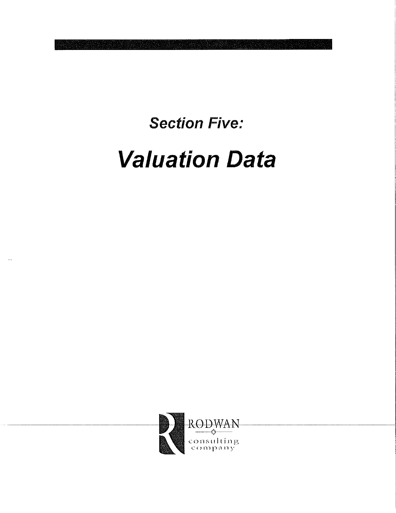**Section Five:** 

## **Valuation Data**

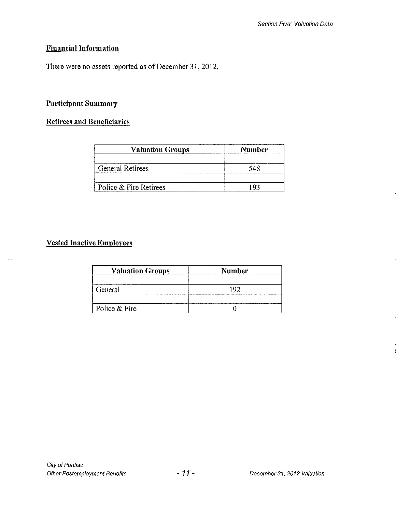#### **Financial Information**

There were no assets reported as of December 31, 2012.

#### **Participant Summary**

#### **Retirees and Beneficiaries**

| <b>Valuation Groups</b> | Number |  |  |
|-------------------------|--------|--|--|
| <b>General Retirees</b> |        |  |  |
| Police & Fire Retirees  |        |  |  |

#### **<u>Vested Inactive Employees</u>**

 $\sim$ 

| <b>Valuation Groups</b> | <b>Number</b> |  |  |  |
|-------------------------|---------------|--|--|--|
| General                 |               |  |  |  |
| Police & Fire           |               |  |  |  |